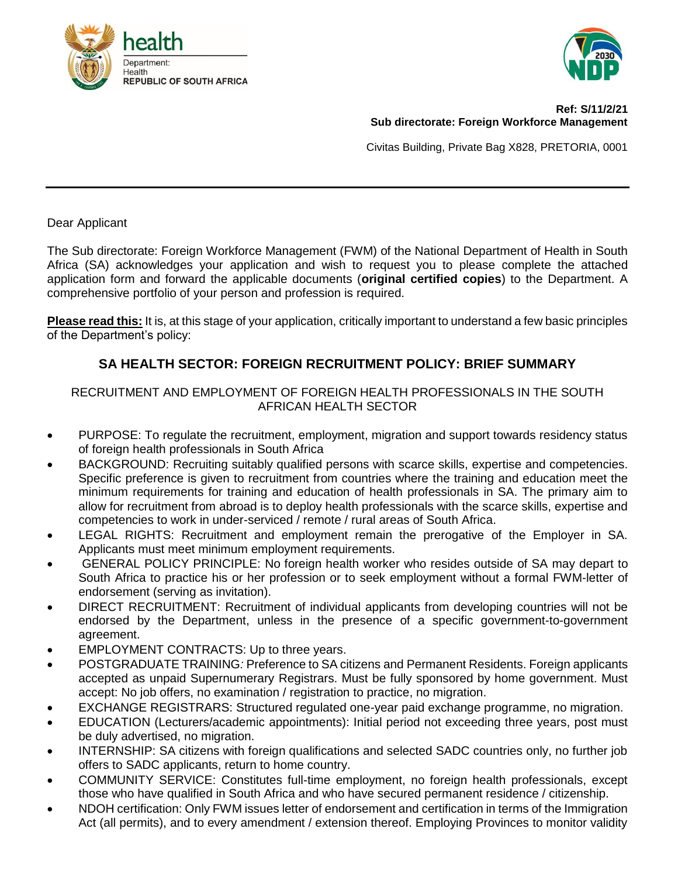



#### **Ref: S/11/2/21 Sub directorate: Foreign Workforce Management**

Civitas Building, Private Bag X828, PRETORIA, 0001

Dear Applicant

The Sub directorate: Foreign Workforce Management (FWM) of the National Department of Health in South Africa (SA) acknowledges your application and wish to request you to please complete the attached application form and forward the applicable documents (**original certified copies**) to the Department. A comprehensive portfolio of your person and profession is required.

**Please read this:** It is, at this stage of your application, critically important to understand a few basic principles of the Department's policy:

### **SA HEALTH SECTOR: FOREIGN RECRUITMENT POLICY: BRIEF SUMMARY**

#### RECRUITMENT AND EMPLOYMENT OF FOREIGN HEALTH PROFESSIONALS IN THE SOUTH AFRICAN HEALTH SECTOR

- PURPOSE: To regulate the recruitment, employment, migration and support towards residency status of foreign health professionals in South Africa
- BACKGROUND: Recruiting suitably qualified persons with scarce skills, expertise and competencies. Specific preference is given to recruitment from countries where the training and education meet the minimum requirements for training and education of health professionals in SA. The primary aim to allow for recruitment from abroad is to deploy health professionals with the scarce skills, expertise and competencies to work in under-serviced / remote / rural areas of South Africa.
- LEGAL RIGHTS: Recruitment and employment remain the prerogative of the Employer in SA. Applicants must meet minimum employment requirements.
- GENERAL POLICY PRINCIPLE: No foreign health worker who resides outside of SA may depart to South Africa to practice his or her profession or to seek employment without a formal FWM-letter of endorsement (serving as invitation).
- DIRECT RECRUITMENT: Recruitment of individual applicants from developing countries will not be endorsed by the Department, unless in the presence of a specific government-to-government agreement.
- EMPLOYMENT CONTRACTS: Up to three years.
- POSTGRADUATE TRAINING*:* Preference to SA citizens and Permanent Residents. Foreign applicants accepted as unpaid Supernumerary Registrars. Must be fully sponsored by home government. Must accept: No job offers, no examination / registration to practice, no migration.
- EXCHANGE REGISTRARS: Structured regulated one-year paid exchange programme, no migration.
- EDUCATION (Lecturers/academic appointments): Initial period not exceeding three years, post must be duly advertised, no migration.
- INTERNSHIP: SA citizens with foreign qualifications and selected SADC countries only, no further job offers to SADC applicants, return to home country.
- COMMUNITY SERVICE: Constitutes full-time employment, no foreign health professionals, except those who have qualified in South Africa and who have secured permanent residence / citizenship.
- NDOH certification: Only FWM issues letter of endorsement and certification in terms of the Immigration Act (all permits), and to every amendment / extension thereof. Employing Provinces to monitor validity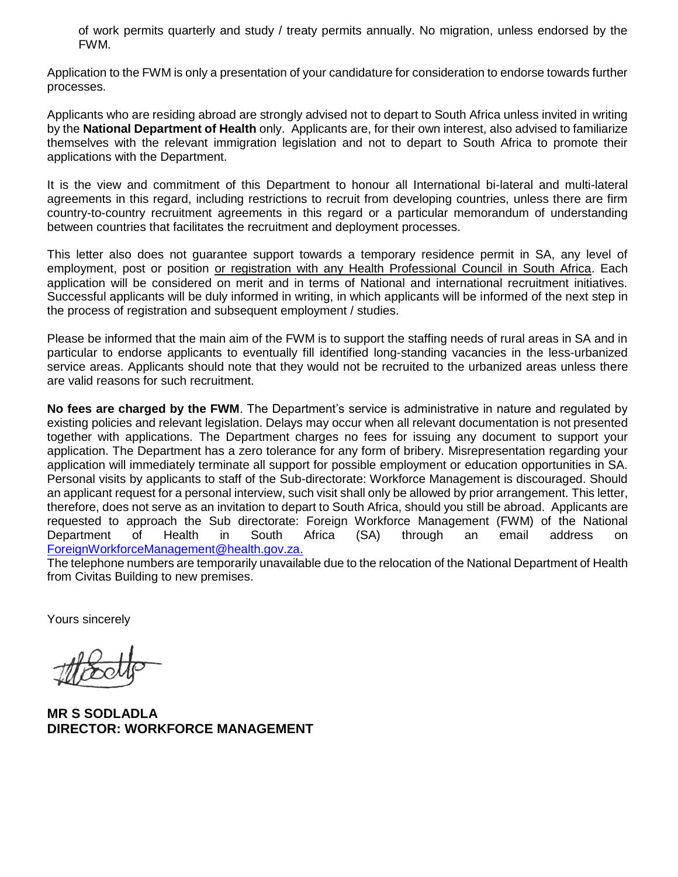of work permits quarterly and study / treaty permits annually. No migration, unless endorsed by the FWM.

Application to the FWM is only a presentation of your candidature for consideration to endorse towards further processes.

Applicants who are residing abroad are strongly advised not to depart to South Africa unless invited in writing by the **National Department of Health** only. Applicants are, for their own interest, also advised to familiarize themselves with the relevant immigration legislation and not to depart to South Africa to promote their applications with the Department.

It is the view and commitment of this Department to honour all International bi-lateral and multi-lateral agreements in this regard, including restrictions to recruit from developing countries, unless there are firm country-to-country recruitment agreements in this regard or a particular memorandum of understanding between countries that facilitates the recruitment and deployment processes.

This letter also does not guarantee support towards a temporary residence permit in SA, any level of employment, post or position or registration with any Health Professional Council in South Africa. Each application will be considered on merit and in terms of National and international recruitment initiatives. Successful applicants will be duly informed in writing, in which applicants will be informed of the next step in the process of registration and subsequent employment / studies.

Please be informed that the main aim of the FWM is to support the staffing needs of rural areas in SA and in particular to endorse applicants to eventually fill identified long-standing vacancies in the less-urbanized service areas. Applicants should note that they would not be recruited to the urbanized areas unless there are valid reasons for such recruitment.

**No fees are charged by the FWM**. The Department's service is administrative in nature and regulated by existing policies and relevant legislation. Delays may occur when all relevant documentation is not presented together with applications. The Department charges no fees for issuing any document to support your application. The Department has a zero tolerance for any form of bribery. Misrepresentation regarding your application will immediately terminate all support for possible employment or education opportunities in SA. Personal visits by applicants to staff of the Sub-directorate: Workforce Management is discouraged. Should an applicant request for a personal interview, such visit shall only be allowed by prior arrangement. This letter, therefore, does not serve as an invitation to depart to South Africa, should you still be abroad. Applicants are requested to approach the Sub directorate: Foreign Workforce Management (FWM) of the National Department of Health in South Africa (SA) through an email address on [ForeignWorkforceManagement@health.gov.za.](mailto:ForeignWorkforceManagement@health.gov.za)

The telephone numbers are temporarily unavailable due to the relocation of the National Department of Health from Civitas Building to new premises.

Yours sincerely

**MR S SODLADLA DIRECTOR: WORKFORCE MANAGEMENT**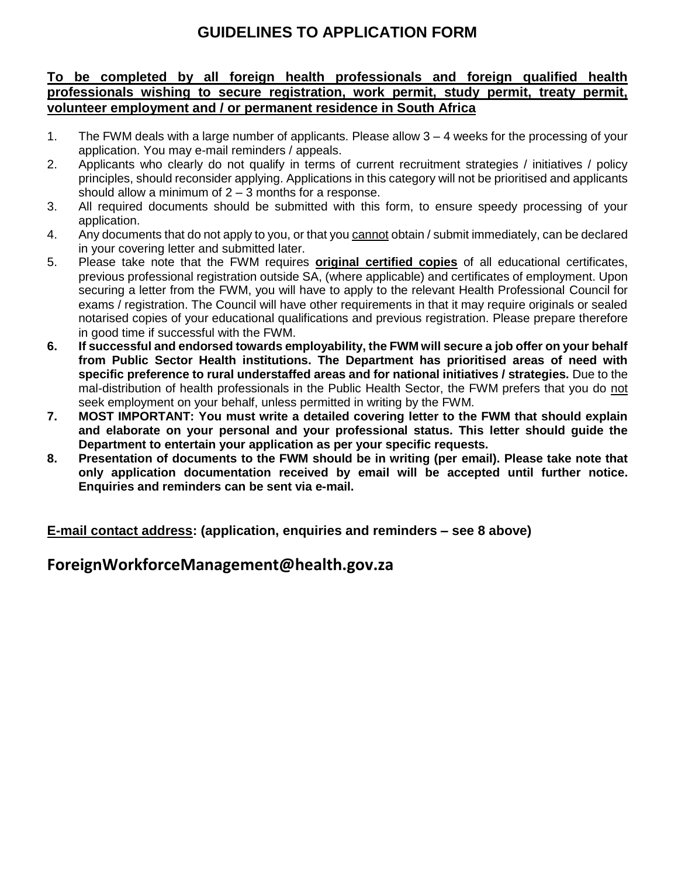# **GUIDELINES TO APPLICATION FORM**

### **To be completed by all foreign health professionals and foreign qualified health professionals wishing to secure registration, work permit, study permit, treaty permit, volunteer employment and / or permanent residence in South Africa**

- 1. The FWM deals with a large number of applicants. Please allow 3 4 weeks for the processing of your application. You may e-mail reminders / appeals.
- 2. Applicants who clearly do not qualify in terms of current recruitment strategies / initiatives / policy principles, should reconsider applying. Applications in this category will not be prioritised and applicants should allow a minimum of  $2 - 3$  months for a response.
- 3. All required documents should be submitted with this form, to ensure speedy processing of your application.
- 4. Any documents that do not apply to you, or that you cannot obtain / submit immediately, can be declared in your covering letter and submitted later.
- 5. Please take note that the FWM requires **original certified copies** of all educational certificates, previous professional registration outside SA, (where applicable) and certificates of employment. Upon securing a letter from the FWM, you will have to apply to the relevant Health Professional Council for exams / registration. The Council will have other requirements in that it may require originals or sealed notarised copies of your educational qualifications and previous registration. Please prepare therefore in good time if successful with the FWM.
- **6. If successful and endorsed towards employability, the FWM will secure a job offer on your behalf from Public Sector Health institutions. The Department has prioritised areas of need with specific preference to rural understaffed areas and for national initiatives / strategies.** Due to the mal-distribution of health professionals in the Public Health Sector, the FWM prefers that you do not seek employment on your behalf, unless permitted in writing by the FWM.
- **7. MOST IMPORTANT: You must write a detailed covering letter to the FWM that should explain and elaborate on your personal and your professional status. This letter should guide the Department to entertain your application as per your specific requests.**
- **8. Presentation of documents to the FWM should be in writing (per email). Please take note that only application documentation received by email will be accepted until further notice. Enquiries and reminders can be sent via e-mail.**

**E-mail contact address: (application, enquiries and reminders – see 8 above)**

## **ForeignWorkforceManagement@health.gov.za**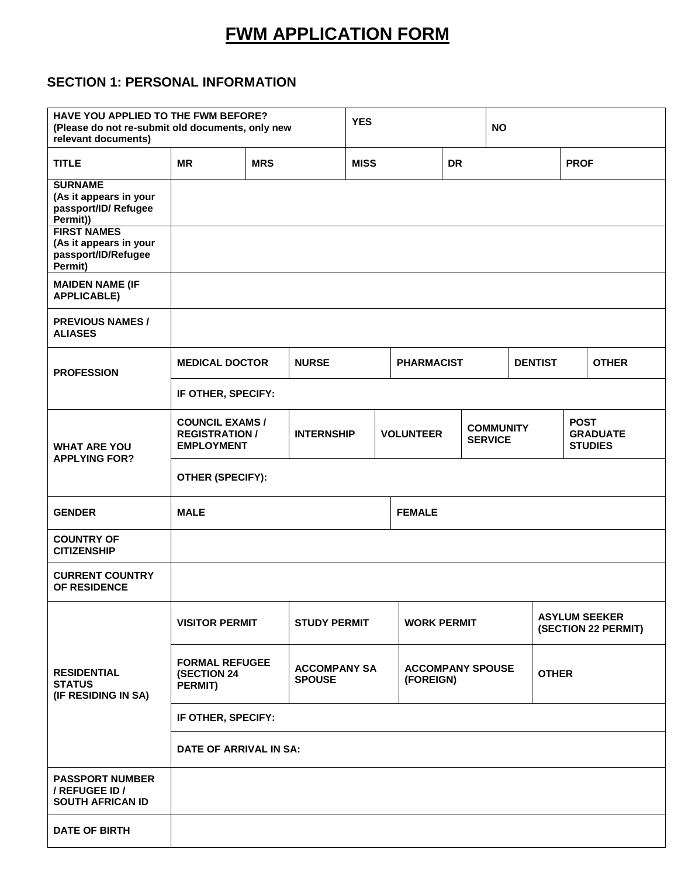# **FWM APPLICATION FORM**

# **SECTION 1: PERSONAL INFORMATION**

| HAVE YOU APPLIED TO THE FWM BEFORE?<br>(Please do not re-submit old documents, only new<br>relevant documents) |                                                                                                |  | <b>YES</b>         |  |                         |  | <b>NO</b>                          |                                             |  |                                                  |
|----------------------------------------------------------------------------------------------------------------|------------------------------------------------------------------------------------------------|--|--------------------|--|-------------------------|--|------------------------------------|---------------------------------------------|--|--------------------------------------------------|
| <b>TITLE</b>                                                                                                   | <b>MR</b><br><b>MRS</b>                                                                        |  | <b>MISS</b>        |  | <b>DR</b>               |  |                                    | <b>PROF</b>                                 |  |                                                  |
| <b>SURNAME</b><br>(As it appears in your<br>passport/ID/Refugee<br>Permit))                                    |                                                                                                |  |                    |  |                         |  |                                    |                                             |  |                                                  |
| <b>FIRST NAMES</b><br>(As it appears in your<br>passport/ID/Refugee<br>Permit)                                 |                                                                                                |  |                    |  |                         |  |                                    |                                             |  |                                                  |
| <b>MAIDEN NAME (IF</b><br><b>APPLICABLE)</b>                                                                   |                                                                                                |  |                    |  |                         |  |                                    |                                             |  |                                                  |
| <b>PREVIOUS NAMES /</b><br><b>ALIASES</b>                                                                      |                                                                                                |  |                    |  |                         |  |                                    |                                             |  |                                                  |
| <b>PROFESSION</b>                                                                                              | <b>MEDICAL DOCTOR</b>                                                                          |  | <b>NURSE</b>       |  | <b>PHARMACIST</b>       |  |                                    | <b>DENTIST</b>                              |  | <b>OTHER</b>                                     |
|                                                                                                                | IF OTHER, SPECIFY:                                                                             |  |                    |  |                         |  |                                    |                                             |  |                                                  |
| <b>WHAT ARE YOU</b><br><b>APPLYING FOR?</b>                                                                    | <b>COUNCIL EXAMS /</b><br><b>REGISTRATION /</b><br><b>EMPLOYMENT</b>                           |  | <b>INTERNSHIP</b>  |  | <b>VOLUNTEER</b>        |  | <b>COMMUNITY</b><br><b>SERVICE</b> |                                             |  | <b>POST</b><br><b>GRADUATE</b><br><b>STUDIES</b> |
|                                                                                                                | OTHER (SPECIFY):                                                                               |  |                    |  |                         |  |                                    |                                             |  |                                                  |
| <b>GENDER</b>                                                                                                  | <b>MALE</b><br><b>FEMALE</b>                                                                   |  |                    |  |                         |  |                                    |                                             |  |                                                  |
| <b>COUNTRY OF</b><br><b>CITIZENSHIP</b>                                                                        |                                                                                                |  |                    |  |                         |  |                                    |                                             |  |                                                  |
| <b>CURRENT COUNTRY</b><br>OF RESIDENCE                                                                         |                                                                                                |  |                    |  |                         |  |                                    |                                             |  |                                                  |
| <b>RESIDENTIAL</b><br><b>STATUS</b><br>(IF RESIDING IN SA)                                                     | <b>VISITOR PERMIT</b><br><b>STUDY PERMIT</b>                                                   |  | <b>WORK PERMIT</b> |  |                         |  |                                    | <b>ASYLUM SEEKER</b><br>(SECTION 22 PERMIT) |  |                                                  |
|                                                                                                                | <b>FORMAL REFUGEE</b><br><b>ACCOMPANY SA</b><br><b>(SECTION 24</b><br><b>SPOUSE</b><br>PERMIT) |  | (FOREIGN)          |  | <b>ACCOMPANY SPOUSE</b> |  |                                    | <b>OTHER</b>                                |  |                                                  |
|                                                                                                                | IF OTHER, SPECIFY:                                                                             |  |                    |  |                         |  |                                    |                                             |  |                                                  |
|                                                                                                                | DATE OF ARRIVAL IN SA:                                                                         |  |                    |  |                         |  |                                    |                                             |  |                                                  |
| <b>PASSPORT NUMBER</b><br>/ REFUGEE ID /<br><b>SOUTH AFRICAN ID</b>                                            |                                                                                                |  |                    |  |                         |  |                                    |                                             |  |                                                  |
| <b>DATE OF BIRTH</b>                                                                                           |                                                                                                |  |                    |  |                         |  |                                    |                                             |  |                                                  |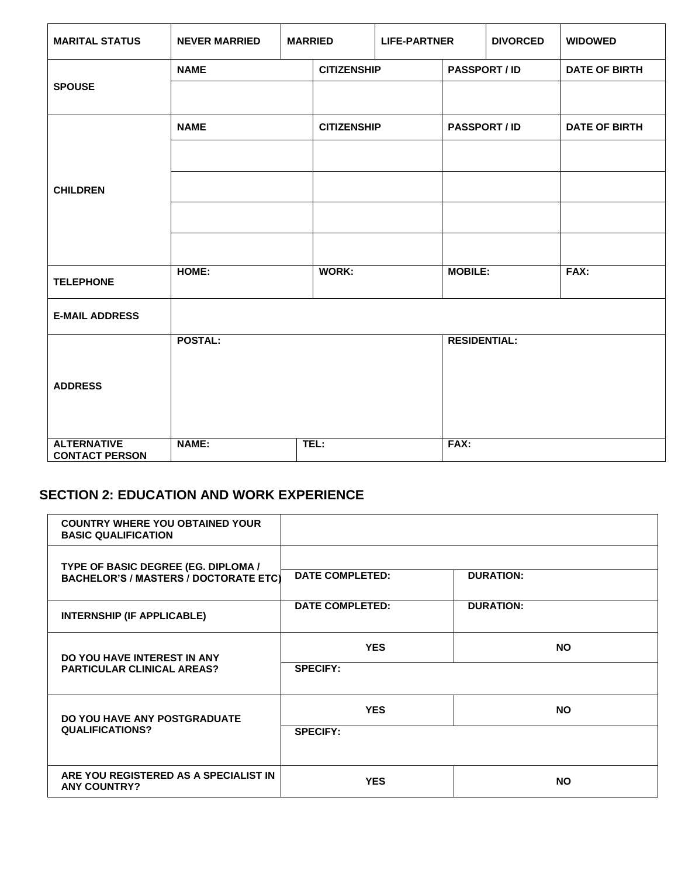| <b>MARITAL STATUS</b>                       | <b>NEVER MARRIED</b><br><b>MARRIED</b> |  | <b>LIFE-PARTNER</b> |  |                     | <b>DIVORCED</b> | <b>WIDOWED</b>       |  |
|---------------------------------------------|----------------------------------------|--|---------------------|--|---------------------|-----------------|----------------------|--|
|                                             | <b>NAME</b>                            |  | <b>CITIZENSHIP</b>  |  | <b>PASSPORT/ID</b>  |                 | <b>DATE OF BIRTH</b> |  |
| <b>SPOUSE</b>                               |                                        |  |                     |  |                     |                 |                      |  |
|                                             | <b>NAME</b>                            |  | <b>CITIZENSHIP</b>  |  | <b>PASSPORT/ID</b>  |                 | <b>DATE OF BIRTH</b> |  |
|                                             |                                        |  |                     |  |                     |                 |                      |  |
| <b>CHILDREN</b>                             |                                        |  |                     |  |                     |                 |                      |  |
|                                             |                                        |  |                     |  |                     |                 |                      |  |
|                                             |                                        |  |                     |  |                     |                 |                      |  |
| <b>TELEPHONE</b>                            | HOME:                                  |  | <b>WORK:</b>        |  | <b>MOBILE:</b>      |                 | FAX:                 |  |
| <b>E-MAIL ADDRESS</b>                       |                                        |  |                     |  |                     |                 |                      |  |
|                                             | <b>POSTAL:</b>                         |  |                     |  | <b>RESIDENTIAL:</b> |                 |                      |  |
| <b>ADDRESS</b>                              |                                        |  |                     |  |                     |                 |                      |  |
|                                             |                                        |  |                     |  |                     |                 |                      |  |
|                                             |                                        |  |                     |  |                     |                 |                      |  |
| <b>ALTERNATIVE</b><br><b>CONTACT PERSON</b> | <b>NAME:</b>                           |  | TEL:                |  | FAX:                |                 |                      |  |

### **SECTION 2: EDUCATION AND WORK EXPERIENCE**

| <b>COUNTRY WHERE YOU OBTAINED YOUR</b><br><b>BASIC QUALIFICATION</b>                       |                        |                  |
|--------------------------------------------------------------------------------------------|------------------------|------------------|
| <b>TYPE OF BASIC DEGREE (EG. DIPLOMA /</b><br><b>BACHELOR'S / MASTERS / DOCTORATE ETC)</b> | <b>DATE COMPLETED:</b> | <b>DURATION:</b> |
| <b>INTERNSHIP (IF APPLICABLE)</b>                                                          | <b>DATE COMPLETED:</b> | <b>DURATION:</b> |
| DO YOU HAVE INTEREST IN ANY                                                                | <b>YES</b>             | <b>NO</b>        |
| <b>PARTICULAR CLINICAL AREAS?</b>                                                          | <b>SPECIFY:</b>        |                  |
| DO YOU HAVE ANY POSTGRADUATE                                                               | <b>YES</b>             | <b>NO</b>        |
| <b>QUALIFICATIONS?</b>                                                                     | <b>SPECIFY:</b>        |                  |
| ARE YOU REGISTERED AS A SPECIALIST IN<br><b>ANY COUNTRY?</b>                               | <b>YES</b>             | <b>NO</b>        |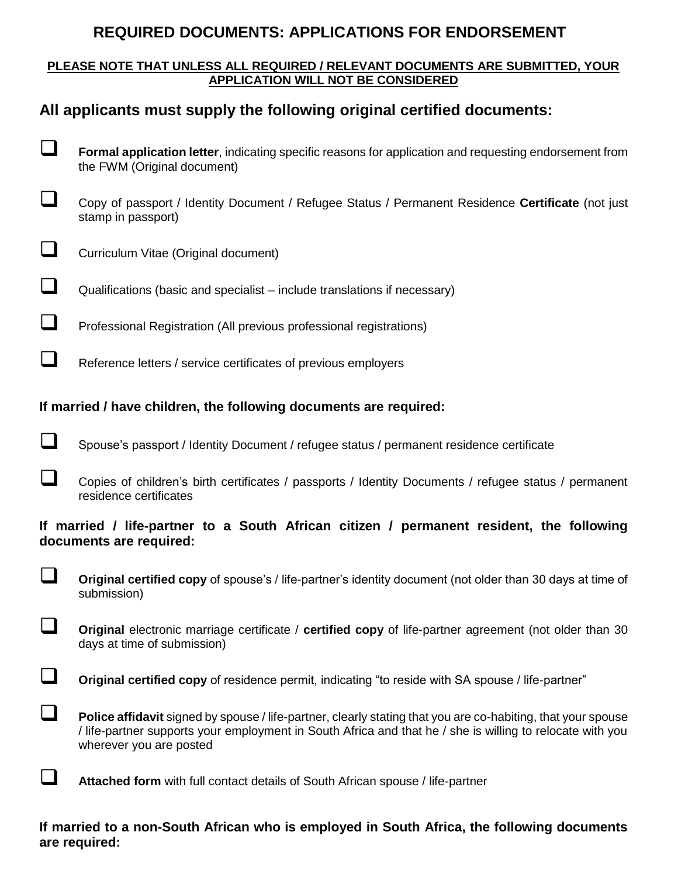# **REQUIRED DOCUMENTS: APPLICATIONS FOR ENDORSEMENT**

### **PLEASE NOTE THAT UNLESS ALL REQUIRED / RELEVANT DOCUMENTS ARE SUBMITTED, YOUR APPLICATION WILL NOT BE CONSIDERED**

# **All applicants must supply the following original certified documents:**

- **Formal application letter**, indicating specific reasons for application and requesting endorsement from the FWM (Original document)
- Copy of passport / Identity Document / Refugee Status / Permanent Residence **Certificate** (not just stamp in passport)
- $\Box$  Curriculum Vitae (Original document)
- $\Box$  Qualifications (basic and specialist include translations if necessary)
- **Professional Registration (All previous professional registrations)**
- Reference letters / service certificates of previous employers

### **If married / have children, the following documents are required:**

- Spouse's passport / Identity Document / refugee status / permanent residence certificate
- Copies of children's birth certificates / passports / Identity Documents / refugee status / permanent residence certificates

### **If married / life-partner to a South African citizen / permanent resident, the following documents are required:**

- **Original certified copy** of spouse's / life-partner's identity document (not older than 30 days at time of submission)
- **Original** electronic marriage certificate / **certified copy** of life-partner agreement (not older than 30 days at time of submission)
- **Original certified copy** of residence permit, indicating "to reside with SA spouse / life-partner"
- **Police affidavit** signed by spouse / life-partner, clearly stating that you are co-habiting, that your spouse / life-partner supports your employment in South Africa and that he / she is willing to relocate with you wherever you are posted
- **Attached form** with full contact details of South African spouse / life-partner

### **If married to a non-South African who is employed in South Africa, the following documents are required:**